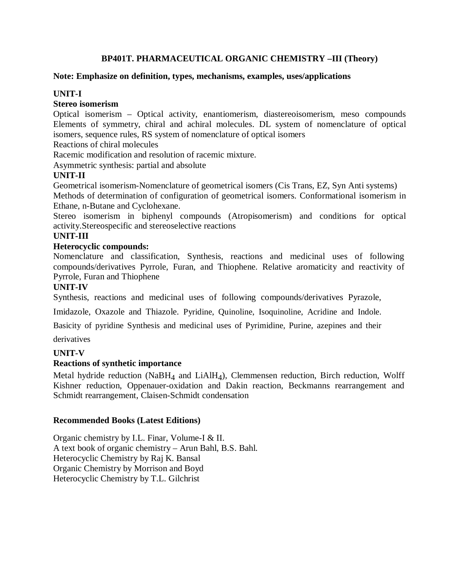# **BP401T. PHARMACEUTICAL ORGANIC CHEMISTRY –III (Theory)**

### **Note: Emphasize on definition, types, mechanisms, examples, uses/applications**

# **UNIT-I**

## **Stereo isomerism**

Optical isomerism – Optical activity, enantiomerism, diastereoisomerism, meso compounds Elements of symmetry, chiral and achiral molecules. DL system of nomenclature of optical isomers, sequence rules, RS system of nomenclature of optical isomers

Reactions of chiral molecules

Racemic modification and resolution of racemic mixture.

Asymmetric synthesis: partial and absolute

# **UNIT-II**

Geometrical isomerism-Nomenclature of geometrical isomers (Cis Trans, EZ, Syn Anti systems) Methods of determination of configuration of geometrical isomers. Conformational isomerism in Ethane, n-Butane and Cyclohexane.

Stereo isomerism in biphenyl compounds (Atropisomerism) and conditions for optical activity.Stereospecific and stereoselective reactions

# **UNIT-III**

## **Heterocyclic compounds:**

Nomenclature and classification, Synthesis, reactions and medicinal uses of following compounds/derivatives Pyrrole, Furan, and Thiophene. Relative aromaticity and reactivity of Pyrrole, Furan and Thiophene

# **UNIT-IV**

Synthesis, reactions and medicinal uses of following compounds/derivatives Pyrazole,

Imidazole, Oxazole and Thiazole. Pyridine, Quinoline, Isoquinoline, Acridine and Indole.

Basicity of pyridine Synthesis and medicinal uses of Pyrimidine, Purine, azepines and their

derivatives

# **UNIT-V**

# **Reactions of synthetic importance**

Metal hydride reduction (NaBH4 and LiAlH4), Clemmensen reduction, Birch reduction, Wolff Kishner reduction, Oppenauer-oxidation and Dakin reaction, Beckmanns rearrangement and Schmidt rearrangement, Claisen-Schmidt condensation

### **Recommended Books (Latest Editions)**

Organic chemistry by I.L. Finar, Volume-I & II. A text book of organic chemistry – Arun Bahl, B.S. Bahl. Heterocyclic Chemistry by Raj K. Bansal Organic Chemistry by Morrison and Boyd Heterocyclic Chemistry by T.L. Gilchrist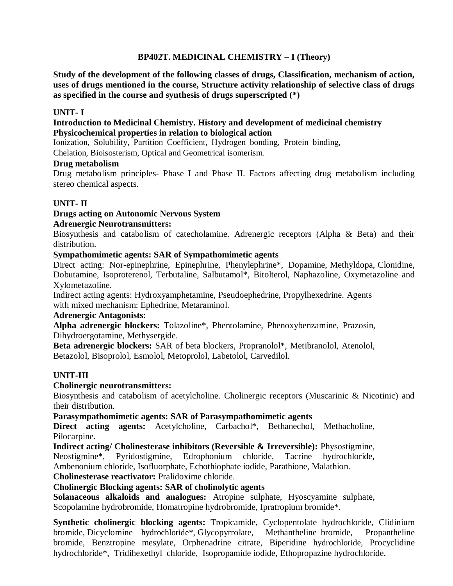# **BP402T. MEDICINAL CHEMISTRY – I (Theory)**

**Study of the development of the following classes of drugs, Classification, mechanism of action, uses of drugs mentioned in the course, Structure activity relationship of selective class of drugs as specified in the course and synthesis of drugs superscripted (\*)**

### **UNIT- I**

### **Introduction to Medicinal Chemistry. History and development of medicinal chemistry Physicochemical properties in relation to biological action**

Ionization, Solubility, Partition Coefficient, Hydrogen bonding, Protein binding,

Chelation, Bioisosterism, Optical and Geometrical isomerism.

### **Drug metabolism**

Drug metabolism principles- Phase I and Phase II. Factors affecting drug metabolism including stereo chemical aspects.

# **UNIT- II**

# **Drugs acting on Autonomic Nervous System**

## **Adrenergic Neurotransmitters:**

Biosynthesis and catabolism of catecholamine. Adrenergic receptors (Alpha & Beta) and their distribution.

### **Sympathomimetic agents: SAR of Sympathomimetic agents**

Direct acting: Nor-epinephrine, Epinephrine, Phenylephrine\*, Dopamine, Methyldopa, Clonidine, Dobutamine, Isoproterenol, Terbutaline, Salbutamol\*, Bitolterol, Naphazoline, Oxymetazoline and Xylometazoline.

Indirect acting agents: Hydroxyamphetamine, Pseudoephedrine, Propylhexedrine. Agents with mixed mechanism: Ephedrine, Metaraminol.

## **Adrenergic Antagonists:**

**Alpha adrenergic blockers:** Tolazoline\*, Phentolamine, Phenoxybenzamine, Prazosin, Dihydroergotamine, Methysergide.

**Beta adrenergic blockers:** SAR of beta blockers, Propranolol\*, Metibranolol, Atenolol, Betazolol, Bisoprolol, Esmolol, Metoprolol, Labetolol, Carvedilol.

# **UNIT-III**

### **Cholinergic neurotransmitters:**

Biosynthesis and catabolism of acetylcholine. Cholinergic receptors (Muscarinic & Nicotinic) and their distribution.

### **Parasympathomimetic agents: SAR of Parasympathomimetic agents**

**Direct acting agents:** Acetylcholine, Carbachol\*, Bethanechol, Methacholine, Pilocarpine.

**Indirect acting/ Cholinesterase inhibitors (Reversible & Irreversible):** Physostigmine, Neostigmine\*, Pyridostigmine, Edrophonium chloride, Tacrine hydrochloride, Ambenonium chloride, Isofluorphate, Echothiophate iodide, Parathione, Malathion. **Cholinesterase reactivator:** Pralidoxime chloride.

# **Cholinergic Blocking agents: SAR of cholinolytic agents**

**Solanaceous alkaloids and analogues:** Atropine sulphate, Hyoscyamine sulphate, Scopolamine hydrobromide, Homatropine hydrobromide, Ipratropium bromide\*.

**Synthetic cholinergic blocking agents:** Tropicamide, Cyclopentolate hydrochloride, Clidinium bromide, Dicyclomine hydrochloride\*, Glycopyrrolate, Methantheline bromide, Propantheline bromide, Benztropine mesylate, Orphenadrine citrate, Biperidine hydrochloride, Procyclidine hydrochloride\*, Tridihexethyl chloride, Isopropamide iodide, Ethopropazine hydrochloride.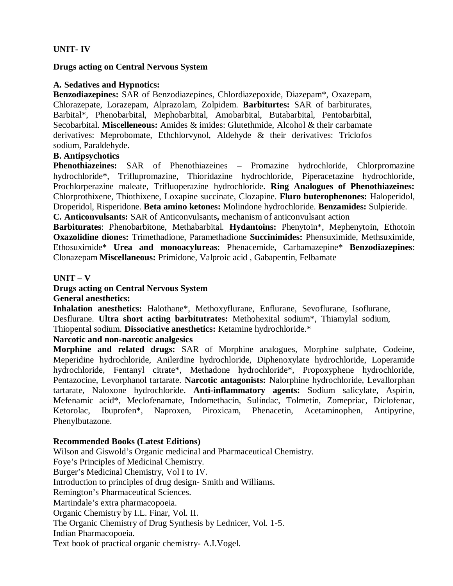## **UNIT- IV**

#### **Drugs acting on Central Nervous System**

#### **A. Sedatives and Hypnotics:**

**Benzodiazepines:** SAR of Benzodiazepines, Chlordiazepoxide, Diazepam\*, Oxazepam, Chlorazepate, Lorazepam, Alprazolam, Zolpidem. **Barbiturtes:** SAR of barbiturates, Barbital\*, Phenobarbital, Mephobarbital, Amobarbital, Butabarbital, Pentobarbital, Secobarbital. **Miscelleneous:** Amides & imides: Glutethmide, Alcohol & their carbamate derivatives: Meprobomate, Ethchlorvynol, Aldehyde & their derivatives: Triclofos sodium, Paraldehyde.

### **B. Antipsychotics**

**Phenothiazeines:** SAR of Phenothiazeines – Promazine hydrochloride, Chlorpromazine hydrochloride\*, Triflupromazine, Thioridazine hydrochloride, Piperacetazine hydrochloride, Prochlorperazine maleate, Trifluoperazine hydrochloride. **Ring Analogues of Phenothiazeines:**  Chlorprothixene, Thiothixene, Loxapine succinate, Clozapine. **Fluro buterophenones:** Haloperidol, Droperidol, Risperidone. **Beta amino ketones:** Molindone hydrochloride. **Benzamides:** Sulpieride. **C. Anticonvulsants:** SAR of Anticonvulsants**,** mechanism of anticonvulsant action

**Barbiturates**: Phenobarbitone, Methabarbital. **Hydantoins:** Phenytoin\*, Mephenytoin, Ethotoin **Oxazolidine diones:** Trimethadione, Paramethadione **Succinimides:** Phensuximide, Methsuximide, Ethosuximide\* **Urea and monoacylureas**: Phenacemide, Carbamazepine\* **Benzodiazepines**: Clonazepam **Miscellaneous:** Primidone, Valproic acid , Gabapentin, Felbamate

#### **UNIT – V**

#### **Drugs acting on Central Nervous System General anesthetics:**

**Inhalation anesthetics:** Halothane\*, Methoxyflurane, Enflurane, Sevoflurane, Isoflurane, Desflurane. **Ultra short acting barbitutrates:** Methohexital sodium\*, Thiamylal sodium, Thiopental sodium. **Dissociative anesthetics:** Ketamine hydrochloride.\*

### **Narcotic and non-narcotic analgesics**

**Morphine and related drugs:** SAR of Morphine analogues, Morphine sulphate, Codeine, Meperidine hydrochloride, Anilerdine hydrochloride, Diphenoxylate hydrochloride, Loperamide hydrochloride, Fentanyl citrate\*, Methadone hydrochloride\*, Propoxyphene hydrochloride, Pentazocine, Levorphanol tartarate. **Narcotic antagonists:** Nalorphine hydrochloride, Levallorphan tartarate, Naloxone hydrochloride. **Anti-inflammatory agents:** Sodium salicylate, Aspirin, Mefenamic acid\*, Meclofenamate, Indomethacin, Sulindac, Tolmetin, Zomepriac, Diclofenac, Ketorolac, Ibuprofen\*, Naproxen, Piroxicam, Phenacetin, Acetaminophen, Antipyrine, Phenylbutazone.

### **Recommended Books (Latest Editions)**

Wilson and Giswold's Organic medicinal and Pharmaceutical Chemistry. Foye's Principles of Medicinal Chemistry. Burger's Medicinal Chemistry, Vol I to IV. Introduction to principles of drug design- Smith and Williams. Remington's Pharmaceutical Sciences. Martindale's extra pharmacopoeia. Organic Chemistry by I.L. Finar, Vol. II. The Organic Chemistry of Drug Synthesis by Lednicer, Vol. 1-5. Indian Pharmacopoeia. Text book of practical organic chemistry- A.I.Vogel.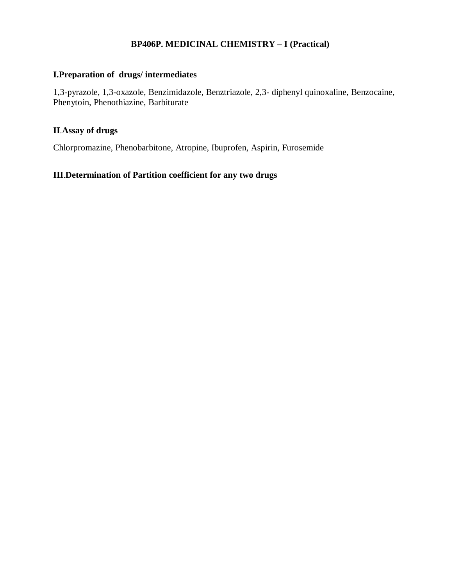## **BP406P. MEDICINAL CHEMISTRY – I (Practical)**

# **I.Preparation of drugs/ intermediates**

1,3-pyrazole, 1,3-oxazole, Benzimidazole, Benztriazole, 2,3- diphenyl quinoxaline, Benzocaine, Phenytoin, Phenothiazine, Barbiturate

## **II**.**Assay of drugs**

Chlorpromazine, Phenobarbitone, Atropine, Ibuprofen, Aspirin, Furosemide

# **III**.**Determination of Partition coefficient for any two drugs**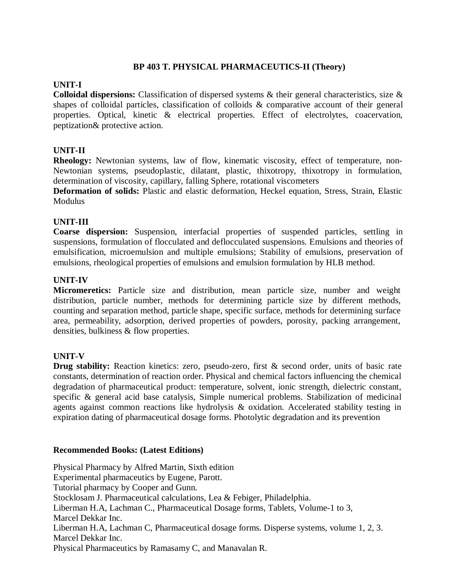## **BP 403 T. PHYSICAL PHARMACEUTICS-II (Theory)**

## **UNIT-I**

**Colloidal dispersions:** Classification of dispersed systems & their general characteristics, size & shapes of colloidal particles, classification of colloids & comparative account of their general properties. Optical, kinetic & electrical properties. Effect of electrolytes, coacervation, peptization& protective action.

# **UNIT-II**

**Rheology:** Newtonian systems, law of flow, kinematic viscosity, effect of temperature, non-Newtonian systems, pseudoplastic, dilatant, plastic, thixotropy, thixotropy in formulation, determination of viscosity, capillary, falling Sphere, rotational viscometers

**Deformation of solids:** Plastic and elastic deformation, Heckel equation, Stress, Strain, Elastic **Modulus** 

## **UNIT-III**

**Coarse dispersion:** Suspension, interfacial properties of suspended particles, settling in suspensions, formulation of flocculated and deflocculated suspensions. Emulsions and theories of emulsification, microemulsion and multiple emulsions; Stability of emulsions, preservation of emulsions, rheological properties of emulsions and emulsion formulation by HLB method.

## **UNIT-IV**

**Micromeretics:** Particle size and distribution, mean particle size, number and weight distribution, particle number, methods for determining particle size by different methods, counting and separation method, particle shape, specific surface, methods for determining surface area, permeability, adsorption, derived properties of powders, porosity, packing arrangement, densities, bulkiness & flow properties.

### **UNIT-V**

**Drug stability:** Reaction kinetics: zero, pseudo-zero, first & second order, units of basic rate constants, determination of reaction order. Physical and chemical factors influencing the chemical degradation of pharmaceutical product: temperature, solvent, ionic strength, dielectric constant, specific & general acid base catalysis, Simple numerical problems. Stabilization of medicinal agents against common reactions like hydrolysis & oxidation. Accelerated stability testing in expiration dating of pharmaceutical dosage forms. Photolytic degradation and its prevention

### **Recommended Books: (Latest Editions)**

Physical Pharmacy by Alfred Martin, Sixth edition Experimental pharmaceutics by Eugene, Parott. Tutorial pharmacy by Cooper and Gunn. Stocklosam J. Pharmaceutical calculations, Lea & Febiger, Philadelphia. Liberman H.A, Lachman C., Pharmaceutical Dosage forms, Tablets, Volume-1 to 3, Marcel Dekkar Inc. Liberman H.A, Lachman C, Pharmaceutical dosage forms. Disperse systems, volume 1, 2, 3. Marcel Dekkar Inc. Physical Pharmaceutics by Ramasamy C, and Manavalan R.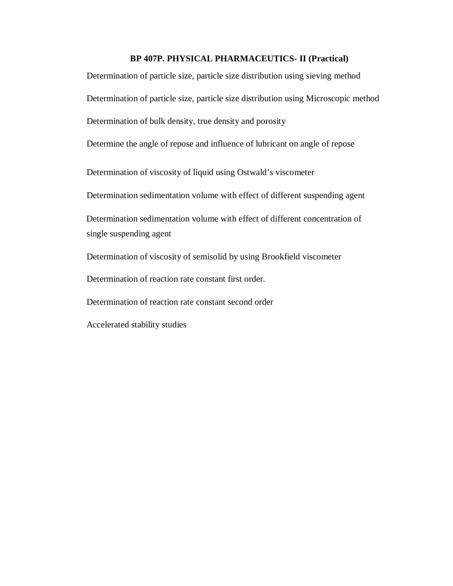#### **BP 407P. PHYSICAL PHARMACEUTICS- II (Practical)**

Determination of particle size, particle size distribution using sieving method Determination of particle size, particle size distribution using Microscopic method Determination of bulk density, true density and porosity Determine the angle of repose and influence of lubricant on angle of repose Determination of viscosity of liquid using Ostwald's viscometer Determination sedimentation volume with effect of different suspending agent Determination sedimentation volume with effect of different concentration of single suspending agent Determination of viscosity of semisolid by using Brookfield viscometer Determination of reaction rate constant first order. Determination of reaction rate constant second order Accelerated stability studies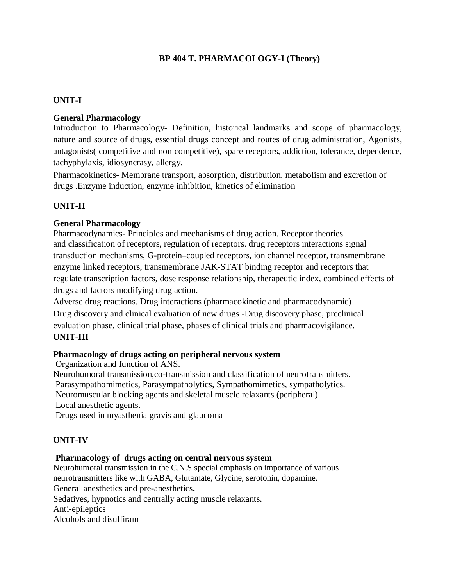# **BP 404 T. PHARMACOLOGY-I (Theory)**

## **UNIT-I**

## **General Pharmacology**

Introduction to Pharmacology- Definition, historical landmarks and scope of pharmacology, nature and source of drugs, essential drugs concept and routes of drug administration, Agonists, antagonists( competitive and non competitive), spare receptors, addiction, tolerance, dependence, tachyphylaxis, idiosyncrasy, allergy.

Pharmacokinetics- Membrane transport, absorption, distribution, metabolism and excretion of drugs .Enzyme induction, enzyme inhibition, kinetics of elimination

# **UNIT-II**

### **General Pharmacology**

Pharmacodynamics- Principles and mechanisms of drug action. Receptor theories and classification of receptors, regulation of receptors. drug receptors interactions signal transduction mechanisms, G-protein–coupled receptors, ion channel receptor, transmembrane enzyme linked receptors, transmembrane JAK-STAT binding receptor and receptors that regulate transcription factors, dose response relationship, therapeutic index, combined effects of drugs and factors modifying drug action.

Adverse drug reactions. Drug interactions (pharmacokinetic and pharmacodynamic) Drug discovery and clinical evaluation of new drugs -Drug discovery phase, preclinical evaluation phase, clinical trial phase, phases of clinical trials and pharmacovigilance.

### **UNIT-III**

### **Pharmacology of drugs acting on peripheral nervous system**

Organization and function of ANS.

Neurohumoral transmission,co-transmission and classification of neurotransmitters. Parasympathomimetics, Parasympatholytics, Sympathomimetics, sympatholytics. Neuromuscular blocking agents and skeletal muscle relaxants (peripheral). Local anesthetic agents. Drugs used in myasthenia gravis and glaucoma

### **UNIT-IV**

### **Pharmacology of drugs acting on central nervous system**

Neurohumoral transmission in the C.N.S.special emphasis on importance of various neurotransmitters like with GABA, Glutamate, Glycine, serotonin, dopamine. General anesthetics and pre-anesthetics**.** Sedatives, hypnotics and centrally acting muscle relaxants. Anti-epileptics Alcohols and disulfiram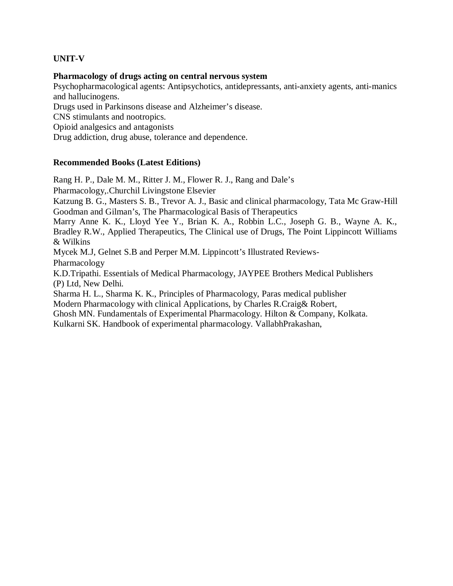## **UNIT-V**

#### **Pharmacology of drugs acting on central nervous system**

Psychopharmacological agents: Antipsychotics, antidepressants, anti-anxiety agents, anti-manics and hallucinogens. Drugs used in Parkinsons disease and Alzheimer's disease.

CNS stimulants and nootropics.

Opioid analgesics and antagonists

Drug addiction, drug abuse, tolerance and dependence.

### **Recommended Books (Latest Editions)**

Rang H. P., Dale M. M., Ritter J. M., Flower R. J., Rang and Dale's

Pharmacology,.Churchil Livingstone Elsevier

Katzung B. G., Masters S. B., Trevor A. J., Basic and clinical pharmacology, Tata Mc Graw-Hill Goodman and Gilman's, The Pharmacological Basis of Therapeutics

Marry Anne K. K., Lloyd Yee Y., Brian K. A., Robbin L.C., Joseph G. B., Wayne A. K., Bradley R.W., Applied Therapeutics, The Clinical use of Drugs, The Point Lippincott Williams & Wilkins

Mycek M.J, Gelnet S.B and Perper M.M. Lippincott's Illustrated Reviews-

Pharmacology

K.D.Tripathi. Essentials of Medical Pharmacology, JAYPEE Brothers Medical Publishers (P) Ltd, New Delhi.

Sharma H. L., Sharma K. K., Principles of Pharmacology, Paras medical publisher Modern Pharmacology with clinical Applications, by Charles R.Craig& Robert,

Ghosh MN. Fundamentals of Experimental Pharmacology. Hilton & Company, Kolkata. Kulkarni SK. Handbook of experimental pharmacology. VallabhPrakashan,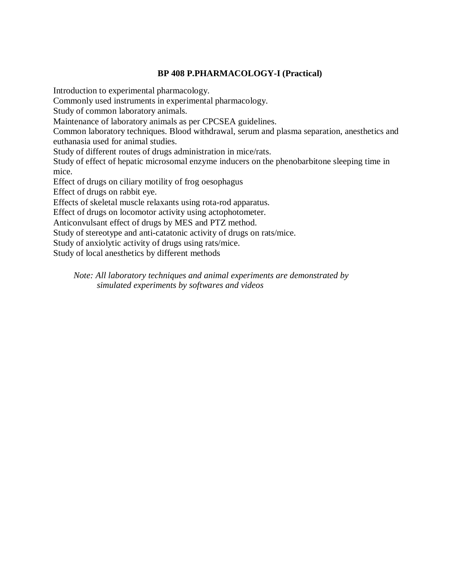# **BP 408 P.PHARMACOLOGY-I (Practical)**

Introduction to experimental pharmacology.

Commonly used instruments in experimental pharmacology.

Study of common laboratory animals.

Maintenance of laboratory animals as per CPCSEA guidelines.

Common laboratory techniques. Blood withdrawal, serum and plasma separation, anesthetics and euthanasia used for animal studies.

Study of different routes of drugs administration in mice/rats.

Study of effect of hepatic microsomal enzyme inducers on the phenobarbitone sleeping time in mice.

Effect of drugs on ciliary motility of frog oesophagus

Effect of drugs on rabbit eye.

Effects of skeletal muscle relaxants using rota-rod apparatus.

Effect of drugs on locomotor activity using actophotometer.

Anticonvulsant effect of drugs by MES and PTZ method.

Study of stereotype and anti-catatonic activity of drugs on rats/mice.

Study of anxiolytic activity of drugs using rats/mice.

Study of local anesthetics by different methods

*Note: All laboratory techniques and animal experiments are demonstrated by simulated experiments by softwares and videos*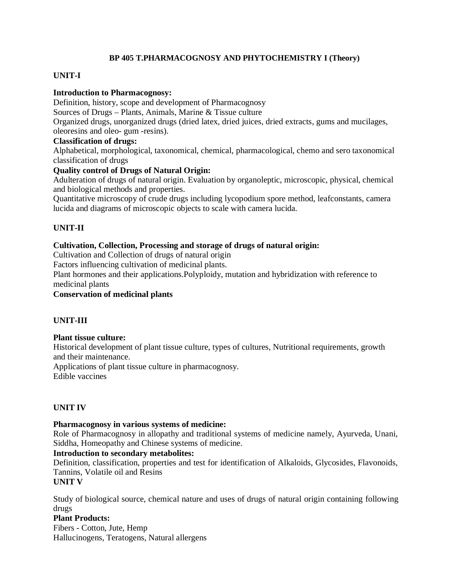### **BP 405 T.PHARMACOGNOSY AND PHYTOCHEMISTRY I (Theory)**

## **UNIT-I**

### **Introduction to Pharmacognosy:**

Definition, history, scope and development of Pharmacognosy Sources of Drugs – Plants, Animals, Marine & Tissue culture Organized drugs, unorganized drugs (dried latex, dried juices, dried extracts, gums and mucilages, oleoresins and oleo- gum -resins).

#### **Classification of drugs:**

Alphabetical, morphological, taxonomical, chemical, pharmacological, chemo and sero taxonomical classification of drugs

### **Quality control of Drugs of Natural Origin:**

Adulteration of drugs of natural origin. Evaluation by organoleptic, microscopic, physical, chemical and biological methods and properties.

Quantitative microscopy of crude drugs including lycopodium spore method, leafconstants, camera lucida and diagrams of microscopic objects to scale with camera lucida.

## **UNIT-II**

#### **Cultivation, Collection, Processing and storage of drugs of natural origin:**

Cultivation and Collection of drugs of natural origin

Factors influencing cultivation of medicinal plants.

Plant hormones and their applications.Polyploidy, mutation and hybridization with reference to medicinal plants

#### **Conservation of medicinal plants**

### **UNIT-III**

#### **Plant tissue culture:**

Historical development of plant tissue culture, types of cultures, Nutritional requirements, growth and their maintenance.

Applications of plant tissue culture in pharmacognosy.

Edible vaccines

### **UNIT IV**

#### **Pharmacognosy in various systems of medicine:**

Role of Pharmacognosy in allopathy and traditional systems of medicine namely, Ayurveda, Unani, Siddha, Homeopathy and Chinese systems of medicine.

#### **Introduction to secondary metabolites:**

Definition, classification, properties and test for identification of Alkaloids, Glycosides, Flavonoids, Tannins, Volatile oil and Resins

#### **UNIT V**

Study of biological source, chemical nature and uses of drugs of natural origin containing following drugs

#### **Plant Products:**

Fibers - Cotton, Jute, Hemp Hallucinogens, Teratogens, Natural allergens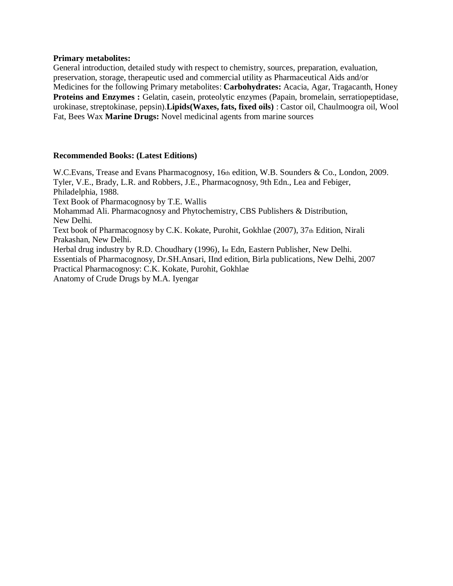#### **Primary metabolites:**

General introduction, detailed study with respect to chemistry, sources, preparation, evaluation, preservation, storage, therapeutic used and commercial utility as Pharmaceutical Aids and/or Medicines for the following Primary metabolites: **Carbohydrates:** Acacia, Agar, Tragacanth, Honey **Proteins and Enzymes :** Gelatin, casein, proteolytic enzymes (Papain, bromelain, serratiopeptidase, urokinase, streptokinase, pepsin).**Lipids(Waxes, fats, fixed oils)** : Castor oil, Chaulmoogra oil, Wool Fat, Bees Wax **Marine Drugs:** Novel medicinal agents from marine sources

#### **Recommended Books: (Latest Editions)**

W.C.Evans, Trease and Evans Pharmacognosy, 16th edition, W.B. Sounders & Co., London, 2009. Tyler, V.E., Brady, L.R. and Robbers, J.E., Pharmacognosy, 9th Edn., Lea and Febiger, Philadelphia, 1988. Text Book of Pharmacognosy by T.E. Wallis Mohammad Ali. Pharmacognosy and Phytochemistry, CBS Publishers & Distribution, New Delhi. Text book of Pharmacognosy by C.K. Kokate, Purohit, Gokhlae (2007), 37th Edition, Nirali Prakashan, New Delhi. Herbal drug industry by R.D. Choudhary (1996), Ist Edn, Eastern Publisher, New Delhi. Essentials of Pharmacognosy, Dr.SH.Ansari, IInd edition, Birla publications, New Delhi, 2007 Practical Pharmacognosy: C.K. Kokate, Purohit, Gokhlae Anatomy of Crude Drugs by M.A. Iyengar